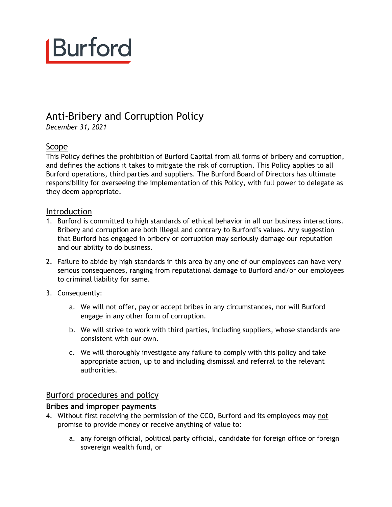# Burford

### Anti-Bribery and Corruption Policy

*December 31, 2021*

### Scope

This Policy defines the prohibition of Burford Capital from all forms of bribery and corruption, and defines the actions it takes to mitigate the risk of corruption. This Policy applies to all Burford operations, third parties and suppliers. The Burford Board of Directors has ultimate responsibility for overseeing the implementation of this Policy, with full power to delegate as they deem appropriate.

### Introduction

- 1. Burford is committed to high standards of ethical behavior in all our business interactions. Bribery and corruption are both illegal and contrary to Burford's values. Any suggestion that Burford has engaged in bribery or corruption may seriously damage our reputation and our ability to do business.
- 2. Failure to abide by high standards in this area by any one of our employees can have very serious consequences, ranging from reputational damage to Burford and/or our employees to criminal liability for same.
- 3. Consequently:
	- a. We will not offer, pay or accept bribes in any circumstances, nor will Burford engage in any other form of corruption.
	- b. We will strive to work with third parties, including suppliers, whose standards are consistent with our own.
	- c. We will thoroughly investigate any failure to comply with this policy and take appropriate action, up to and including dismissal and referral to the relevant authorities.

### Burford procedures and policy

### **Bribes and improper payments**

- 4. Without first receiving the permission of the CCO, Burford and its employees may not promise to provide money or receive anything of value to:
	- a. any foreign official, political party official, candidate for foreign office or foreign sovereign wealth fund, or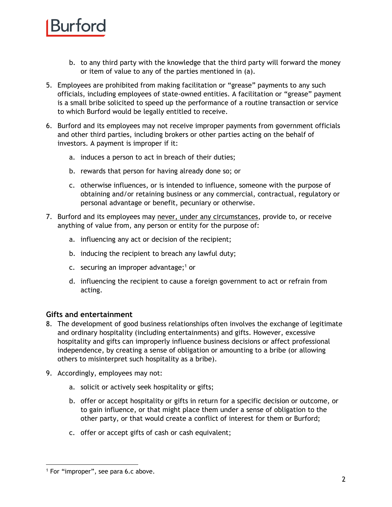### Burtord

- b. to any third party with the knowledge that the third party will forward the money or item of value to any of the parties mentioned in (a).
- 5. Employees are prohibited from making facilitation or "grease" payments to any such officials, including employees of state-owned entities. A facilitation or "grease" payment is a small bribe solicited to speed up the performance of a routine transaction or service to which Burford would be legally entitled to receive.
- 6. Burford and its employees may not receive improper payments from government officials and other third parties, including brokers or other parties acting on the behalf of investors. A payment is improper if it:
	- a. induces a person to act in breach of their duties;
	- b. rewards that person for having already done so; or
	- c. otherwise influences, or is intended to influence, someone with the purpose of obtaining and/or retaining business or any commercial, contractual, regulatory or personal advantage or benefit, pecuniary or otherwise.
- <span id="page-1-0"></span>7. Burford and its employees may never, under any circumstances, provide to, or receive anything of value from, any person or entity for the purpose of:
	- a. influencing any act or decision of the recipient;
	- b. inducing the recipient to breach any lawful duty;
	- c. securing an improper advantage; $1$  or
	- d. influencing the recipient to cause a foreign government to act or refrain from acting.

### **Gifts and entertainment**

- 8. The development of good business relationships often involves the exchange of legitimate and ordinary hospitality (including entertainments) and gifts. However, excessive hospitality and gifts can improperly influence business decisions or affect professional independence, by creating a sense of obligation or amounting to a bribe (or allowing others to misinterpret such hospitality as a bribe).
- 9. Accordingly, employees may not:
	- a. solicit or actively seek hospitality or gifts;
	- b. offer or accept hospitality or gifts in return for a specific decision or outcome, or to gain influence, or that might place them under a sense of obligation to the other party, or that would create a conflict of interest for them or Burford;
	- c. offer or accept gifts of cash or cash equivalent;

<sup>&</sup>lt;sup>1</sup> For "improper", see para [6.c](#page-1-0) above.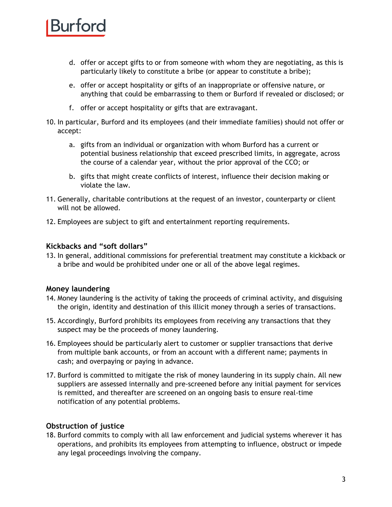## Kurtord

- d. offer or accept gifts to or from someone with whom they are negotiating, as this is particularly likely to constitute a bribe (or appear to constitute a bribe);
- e. offer or accept hospitality or gifts of an inappropriate or offensive nature, or anything that could be embarrassing to them or Burford if revealed or disclosed; or
- f. offer or accept hospitality or gifts that are extravagant.
- 10. In particular, Burford and its employees (and their immediate families) should not offer or accept:
	- a. gifts from an individual or organization with whom Burford has a current or potential business relationship that exceed prescribed limits, in aggregate, across the course of a calendar year, without the prior approval of the CCO; or
	- b. gifts that might create conflicts of interest, influence their decision making or violate the law.
- 11. Generally, charitable contributions at the request of an investor, counterparty or client will not be allowed.
- 12. Employees are subject to gift and entertainment reporting requirements.

### **Kickbacks and "soft dollars"**

13. In general, additional commissions for preferential treatment may constitute a kickback or a bribe and would be prohibited under one or all of the above legal regimes.

### **Money laundering**

- 14. Money laundering is the activity of taking the proceeds of criminal activity, and disguising the origin, identity and destination of this illicit money through a series of transactions.
- 15. Accordingly, Burford prohibits its employees from receiving any transactions that they suspect may be the proceeds of money laundering.
- 16. Employees should be particularly alert to customer or supplier transactions that derive from multiple bank accounts, or from an account with a different name; payments in cash; and overpaying or paying in advance.
- 17. Burford is committed to mitigate the risk of money laundering in its supply chain. All new suppliers are assessed internally and pre-screened before any initial payment for services is remitted, and thereafter are screened on an ongoing basis to ensure real-time notification of any potential problems.

### **Obstruction of justice**

18. Burford commits to comply with all law enforcement and judicial systems wherever it has operations, and prohibits its employees from attempting to influence, obstruct or impede any legal proceedings involving the company.